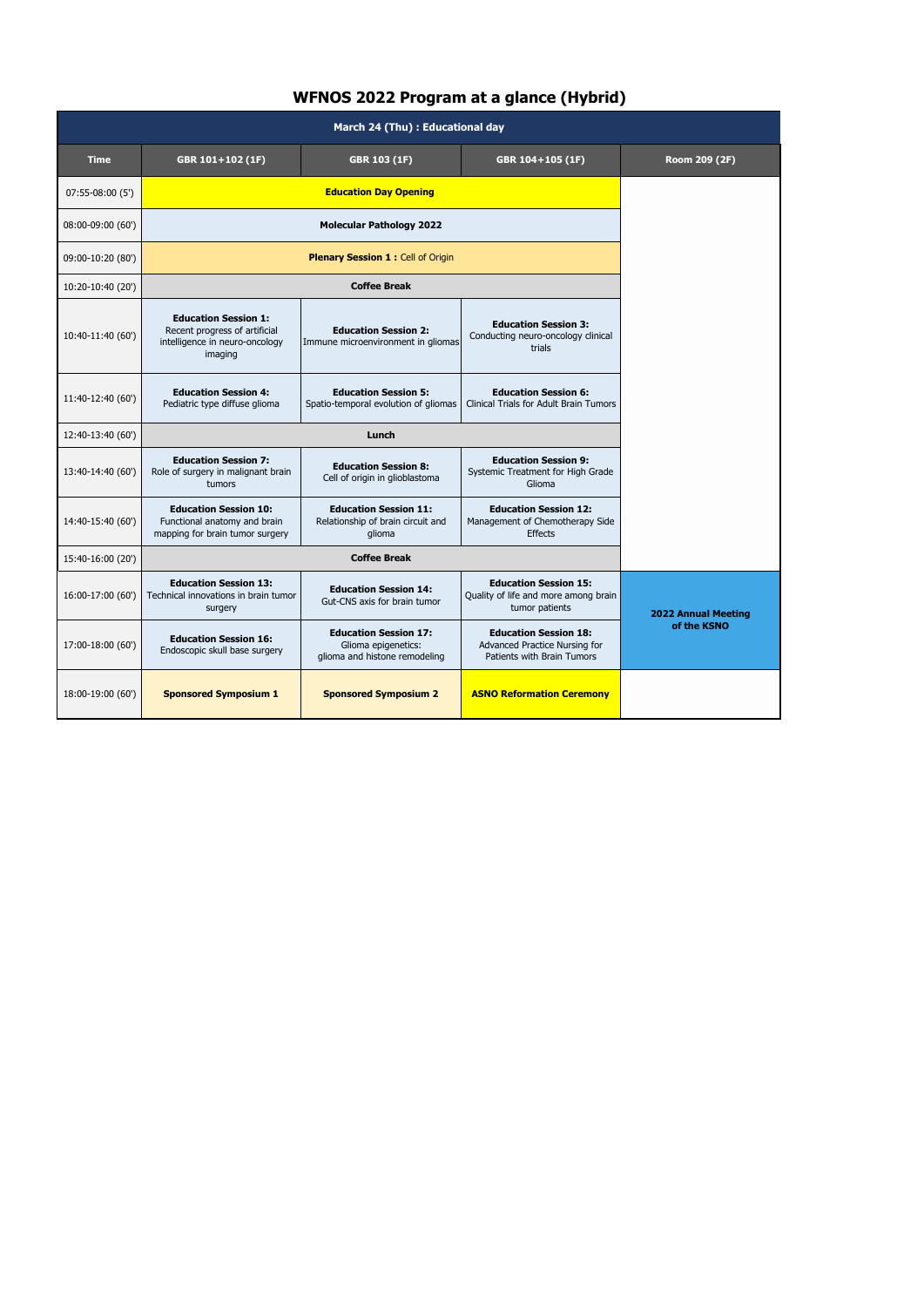## **WFNOS 2022 Program at a glance (Hybrid)**

| March 24 (Thu) : Educational day |                                                                                                           |                                                                                      |                                                                                             |                                           |  |
|----------------------------------|-----------------------------------------------------------------------------------------------------------|--------------------------------------------------------------------------------------|---------------------------------------------------------------------------------------------|-------------------------------------------|--|
| <b>Time</b>                      | GBR 103 (1F)<br>GBR 104+105 (1F)<br>GBR 101+102 (1F)                                                      |                                                                                      | Room 209 (2F)                                                                               |                                           |  |
| 07:55-08:00 (5')                 | <b>Education Day Opening</b>                                                                              |                                                                                      |                                                                                             |                                           |  |
| 08:00-09:00 (60')                | <b>Molecular Pathology 2022</b>                                                                           |                                                                                      |                                                                                             |                                           |  |
| 09:00-10:20 (80')                | <b>Plenary Session 1: Cell of Origin</b>                                                                  |                                                                                      |                                                                                             |                                           |  |
| 10:20-10:40 (20')                | <b>Coffee Break</b>                                                                                       |                                                                                      |                                                                                             |                                           |  |
| 10:40-11:40 (60')                | <b>Education Session 1:</b><br>Recent progress of artificial<br>intelligence in neuro-oncology<br>imaging | <b>Education Session 2:</b><br>Immune microenvironment in gliomas                    | <b>Education Session 3:</b><br>Conducting neuro-oncology clinical<br>trials                 |                                           |  |
| 11:40-12:40 (60')                | <b>Education Session 4:</b><br>Pediatric type diffuse glioma                                              | <b>Education Session 5:</b><br>Spatio-temporal evolution of gliomas                  | <b>Education Session 6:</b><br><b>Clinical Trials for Adult Brain Tumors</b>                |                                           |  |
| 12:40-13:40 (60')                | Lunch                                                                                                     |                                                                                      |                                                                                             |                                           |  |
| 13:40-14:40 (60')                | <b>Education Session 7:</b><br>Role of surgery in malignant brain<br>tumors                               | <b>Education Session 8:</b><br>Cell of origin in glioblastoma                        | <b>Education Session 9:</b><br>Systemic Treatment for High Grade<br>Glioma                  |                                           |  |
| 14:40-15:40 (60')                | <b>Education Session 10:</b><br>Functional anatomy and brain<br>mapping for brain tumor surgery           | <b>Education Session 11:</b><br>Relationship of brain circuit and<br>glioma          | <b>Education Session 12:</b><br>Management of Chemotherapy Side<br><b>Effects</b>           |                                           |  |
| 15:40-16:00 (20')                | <b>Coffee Break</b>                                                                                       |                                                                                      |                                                                                             |                                           |  |
| 16:00-17:00 (60')                | <b>Education Session 13:</b><br>Technical innovations in brain tumor<br>surgery                           | <b>Education Session 14:</b><br>Gut-CNS axis for brain tumor                         | <b>Education Session 15:</b><br>Quality of life and more among brain<br>tumor patients      | <b>2022 Annual Meeting</b><br>of the KSNO |  |
| 17:00-18:00 (60')                | <b>Education Session 16:</b><br>Endoscopic skull base surgery                                             | <b>Education Session 17:</b><br>Glioma epigenetics:<br>glioma and histone remodeling | <b>Education Session 18:</b><br>Advanced Practice Nursing for<br>Patients with Brain Tumors |                                           |  |
| 18:00-19:00 (60')                | <b>Sponsored Symposium 1</b>                                                                              | <b>Sponsored Symposium 2</b>                                                         | <b>ASNO Reformation Ceremony</b>                                                            |                                           |  |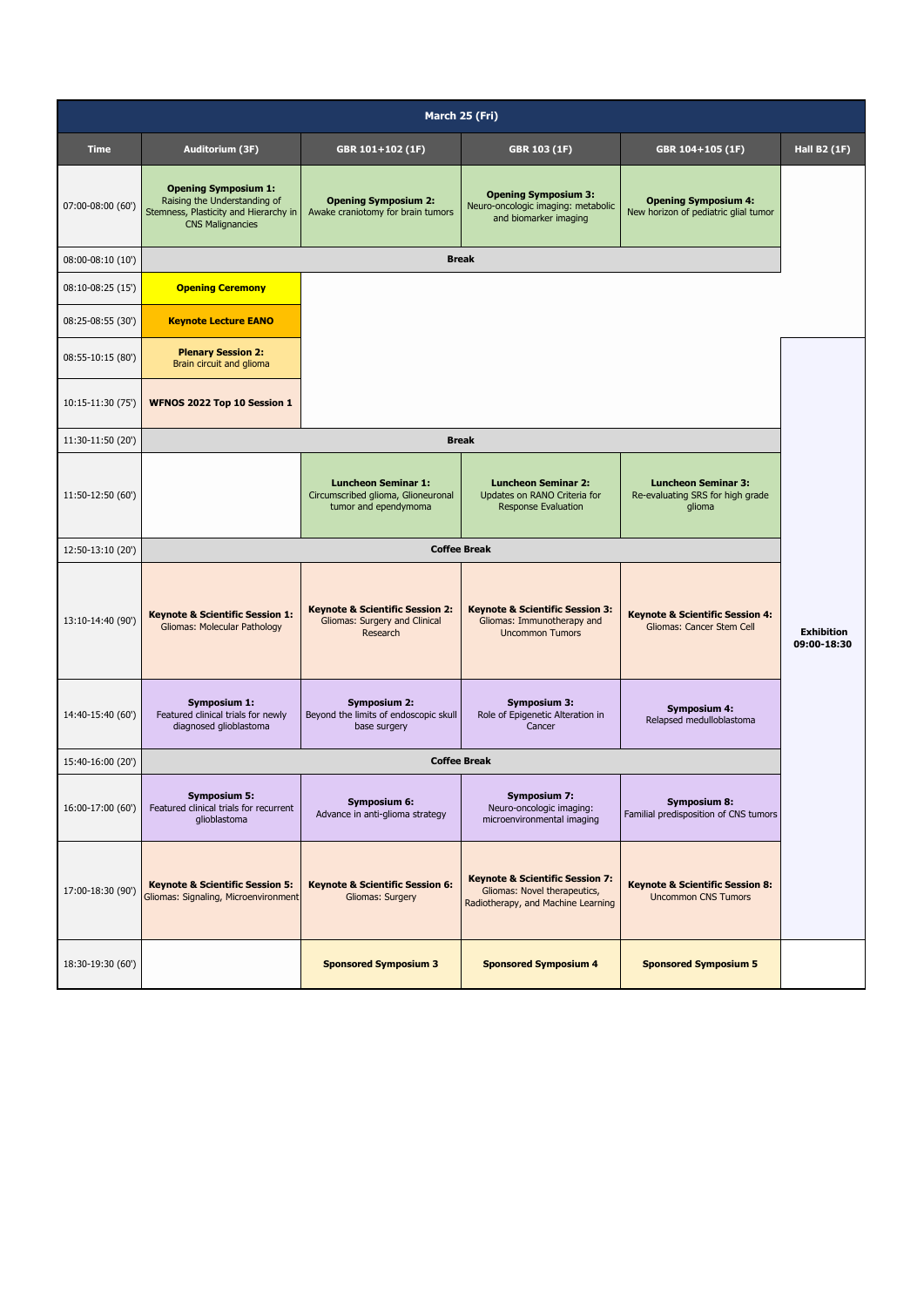| March 25 (Fri)    |                                                                                                                                 |                                                                                          |                                                                                                                  |                                                                          |                                  |
|-------------------|---------------------------------------------------------------------------------------------------------------------------------|------------------------------------------------------------------------------------------|------------------------------------------------------------------------------------------------------------------|--------------------------------------------------------------------------|----------------------------------|
| <b>Time</b>       | Auditorium (3F)                                                                                                                 | GBR 101+102 (1F)                                                                         | GBR 103 (1F)                                                                                                     | GBR 104+105 (1F)                                                         | <b>Hall B2 (1F)</b>              |
| 07:00-08:00 (60') | <b>Opening Symposium 1:</b><br>Raising the Understanding of<br>Stemness, Plasticity and Hierarchy in<br><b>CNS Malignancies</b> | <b>Opening Symposium 2:</b><br>Awake craniotomy for brain tumors                         | <b>Opening Symposium 3:</b><br>Neuro-oncologic imaging: metabolic<br>and biomarker imaging                       | <b>Opening Symposium 4:</b><br>New horizon of pediatric glial tumor      |                                  |
| 08:00-08:10 (10') | <b>Break</b>                                                                                                                    |                                                                                          |                                                                                                                  |                                                                          |                                  |
| 08:10-08:25 (15') | <b>Opening Ceremony</b>                                                                                                         |                                                                                          |                                                                                                                  |                                                                          |                                  |
| 08:25-08:55 (30') | <b>Keynote Lecture EANO</b>                                                                                                     |                                                                                          |                                                                                                                  |                                                                          |                                  |
| 08:55-10:15 (80') | <b>Plenary Session 2:</b><br>Brain circuit and glioma                                                                           |                                                                                          |                                                                                                                  |                                                                          |                                  |
| 10:15-11:30 (75') | WFNOS 2022 Top 10 Session 1                                                                                                     |                                                                                          |                                                                                                                  |                                                                          |                                  |
| 11:30-11:50 (20') |                                                                                                                                 |                                                                                          | <b>Break</b>                                                                                                     |                                                                          |                                  |
| 11:50-12:50 (60') |                                                                                                                                 | <b>Luncheon Seminar 1:</b><br>Circumscribed glioma, Glioneuronal<br>tumor and ependymoma | <b>Luncheon Seminar 2:</b><br>Updates on RANO Criteria for<br><b>Response Evaluation</b>                         | <b>Luncheon Seminar 3:</b><br>Re-evaluating SRS for high grade<br>glioma |                                  |
| 12:50-13:10 (20') |                                                                                                                                 |                                                                                          | <b>Coffee Break</b>                                                                                              |                                                                          |                                  |
| 13:10-14:40 (90') | <b>Keynote &amp; Scientific Session 1:</b><br>Gliomas: Molecular Pathology                                                      | <b>Keynote &amp; Scientific Session 2:</b><br>Gliomas: Surgery and Clinical<br>Research  | <b>Keynote &amp; Scientific Session 3:</b><br>Gliomas: Immunotherapy and<br><b>Uncommon Tumors</b>               | <b>Keynote &amp; Scientific Session 4:</b><br>Gliomas: Cancer Stem Cell  | <b>Exhibition</b><br>09:00-18:30 |
| 14:40-15:40 (60') | Symposium 1:<br>Featured clinical trials for newly<br>diagnosed glioblastoma                                                    | <b>Symposium 2:</b><br>Beyond the limits of endoscopic skull<br>base surgery             | <b>Symposium 3:</b><br>Role of Epigenetic Alteration in<br>Cancer                                                | <b>Symposium 4:</b><br>Relapsed medulloblastoma                          |                                  |
| 15:40-16:00 (20') | <b>Coffee Break</b>                                                                                                             |                                                                                          |                                                                                                                  |                                                                          |                                  |
| 16:00-17:00 (60') | Symposium 5:<br>Featured clinical trials for recurrent<br>glioblastoma                                                          | <b>Symposium 6:</b><br>Advance in anti-glioma strategy                                   | <b>Symposium 7:</b><br>Neuro-oncologic imaging:<br>microenvironmental imaging                                    | <b>Symposium 8:</b><br>Familial predisposition of CNS tumors             |                                  |
| 17:00-18:30 (90') | <b>Keynote &amp; Scientific Session 5:</b><br>Gliomas: Signaling, Microenvironment                                              | <b>Keynote &amp; Scientific Session 6:</b><br>Gliomas: Surgery                           | <b>Keynote &amp; Scientific Session 7:</b><br>Gliomas: Novel therapeutics,<br>Radiotherapy, and Machine Learning | <b>Keynote &amp; Scientific Session 8:</b><br><b>Uncommon CNS Tumors</b> |                                  |
| 18:30-19:30 (60') |                                                                                                                                 | <b>Sponsored Symposium 3</b>                                                             | <b>Sponsored Symposium 4</b>                                                                                     | <b>Sponsored Symposium 5</b>                                             |                                  |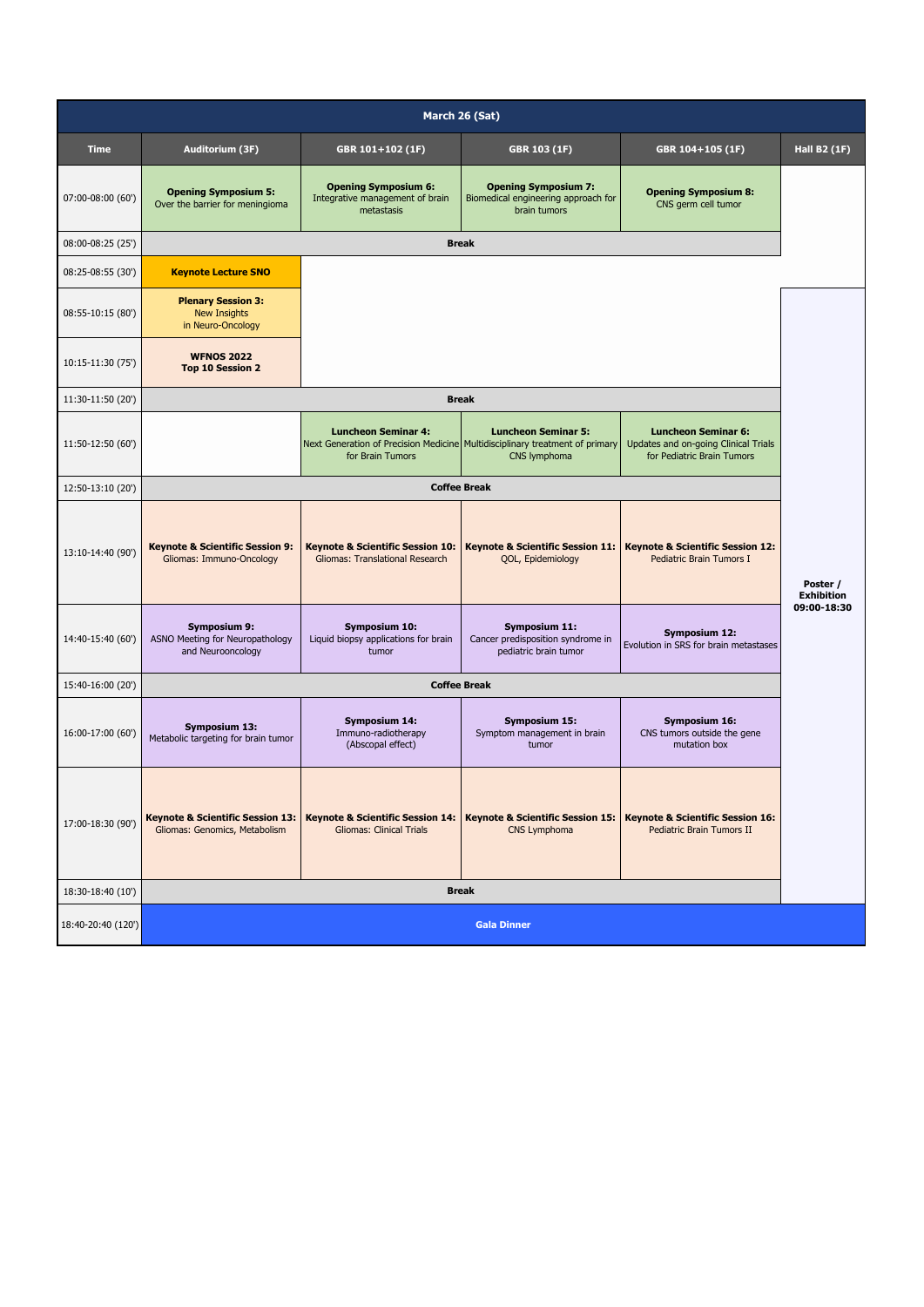| March 26 (Sat)     |                                                                              |                                                                                |                                                                                                                            |                                                                                                  |                               |  |
|--------------------|------------------------------------------------------------------------------|--------------------------------------------------------------------------------|----------------------------------------------------------------------------------------------------------------------------|--------------------------------------------------------------------------------------------------|-------------------------------|--|
| <b>Time</b>        | Auditorium (3F)                                                              | GBR 101+102 (1F)                                                               | GBR 103 (1F)                                                                                                               | GBR 104+105 (1F)                                                                                 | <b>Hall B2 (1F)</b>           |  |
| 07:00-08:00 (60')  | <b>Opening Symposium 5:</b><br>Over the barrier for meningioma               | <b>Opening Symposium 6:</b><br>Integrative management of brain<br>metastasis   | <b>Opening Symposium 7:</b><br>Biomedical engineering approach for<br>brain tumors                                         | <b>Opening Symposium 8:</b><br>CNS germ cell tumor                                               |                               |  |
| 08:00-08:25 (25')  | <b>Break</b>                                                                 |                                                                                |                                                                                                                            |                                                                                                  |                               |  |
| 08:25-08:55 (30')  | <b>Keynote Lecture SNO</b>                                                   |                                                                                |                                                                                                                            |                                                                                                  |                               |  |
| 08:55-10:15 (80')  | <b>Plenary Session 3:</b><br><b>New Insights</b><br>in Neuro-Oncology        |                                                                                |                                                                                                                            |                                                                                                  |                               |  |
| 10:15-11:30 (75')  | <b>WFNOS 2022</b><br><b>Top 10 Session 2</b>                                 |                                                                                |                                                                                                                            |                                                                                                  |                               |  |
| 11:30-11:50 (20')  |                                                                              |                                                                                | <b>Break</b>                                                                                                               |                                                                                                  |                               |  |
| 11:50-12:50 (60')  |                                                                              | <b>Luncheon Seminar 4:</b><br>for Brain Tumors                                 | <b>Luncheon Seminar 5:</b><br>Next Generation of Precision Medicine Multidisciplinary treatment of primary<br>CNS lymphoma | <b>Luncheon Seminar 6:</b><br>Updates and on-going Clinical Trials<br>for Pediatric Brain Tumors |                               |  |
| 12:50-13:10 (20')  |                                                                              |                                                                                | <b>Coffee Break</b>                                                                                                        |                                                                                                  |                               |  |
| 13:10-14:40 (90')  | <b>Keynote &amp; Scientific Session 9:</b><br>Gliomas: Immuno-Oncology       | <b>Keynote &amp; Scientific Session 10:</b><br>Gliomas: Translational Research | <b>Keynote &amp; Scientific Session 11:</b><br>QOL, Epidemiology                                                           | <b>Keynote &amp; Scientific Session 12:</b><br>Pediatric Brain Tumors I                          | Poster /<br><b>Exhibition</b> |  |
| 14:40-15:40 (60')  | <b>Symposium 9:</b><br>ASNO Meeting for Neuropathology<br>and Neurooncology  | Symposium 10:<br>Liquid biopsy applications for brain<br>tumor                 | Symposium 11:<br>Cancer predisposition syndrome in<br>pediatric brain tumor                                                | <b>Symposium 12:</b><br>Evolution in SRS for brain metastases                                    | 09:00-18:30                   |  |
| 15:40-16:00 (20')  | <b>Coffee Break</b>                                                          |                                                                                |                                                                                                                            |                                                                                                  |                               |  |
| 16:00-17:00 (60')  | <b>Symposium 13:</b><br>Metabolic targeting for brain tumor                  | <b>Symposium 14:</b><br>Immuno-radiotherapy<br>(Abscopal effect)               | <b>Symposium 15:</b><br>Symptom management in brain<br>tumor                                                               | <b>Symposium 16:</b><br>CNS tumors outside the gene<br>mutation box                              |                               |  |
| 17:00-18:30 (90')  | <b>Keynote &amp; Scientific Session 13:</b><br>Gliomas: Genomics, Metabolism | <b>Keynote &amp; Scientific Session 14:</b><br><b>Gliomas: Clinical Trials</b> | <b>Keynote &amp; Scientific Session 15:</b><br>CNS Lymphoma                                                                | <b>Keynote &amp; Scientific Session 16:</b><br>Pediatric Brain Tumors II                         |                               |  |
| 18:30-18:40 (10')  | <b>Break</b>                                                                 |                                                                                |                                                                                                                            |                                                                                                  |                               |  |
| 18:40-20:40 (120') | <b>Gala Dinner</b>                                                           |                                                                                |                                                                                                                            |                                                                                                  |                               |  |